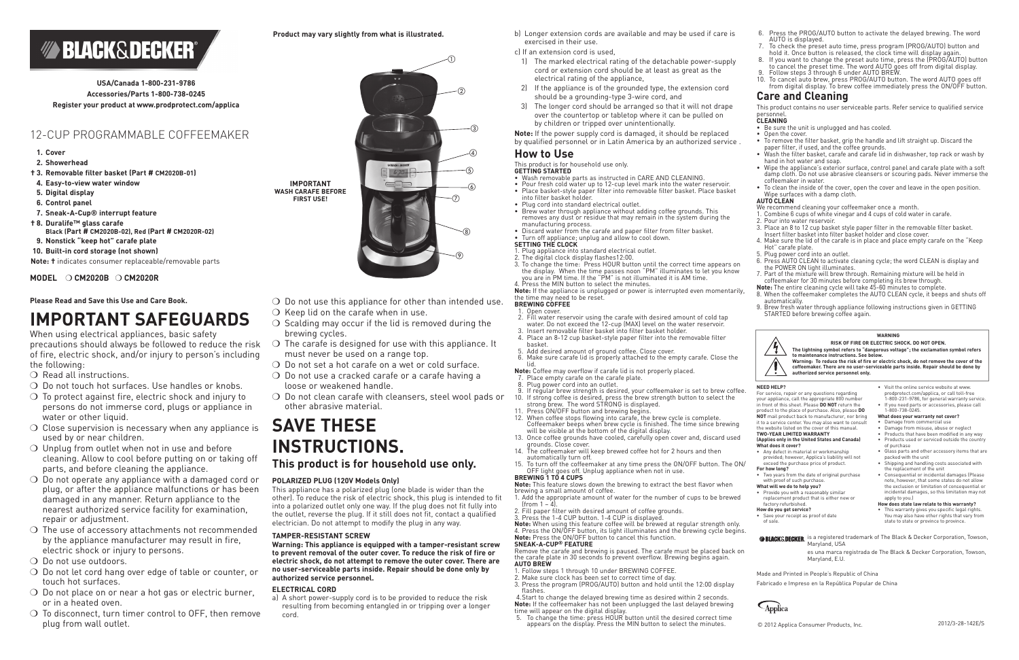**Please Read and Save this Use and Care Book.** 

## **IMPORTANT SAFEGUARDS**

When using electrical appliances, basic safety precautions should always be followed to reduce the risk of fire, electric shock, and/or injury to person's including the following:

- O Read all instructions.
- $\bigcirc$  Do not touch hot surfaces. Use handles or knobs.
- $\bigcirc$  To protect against fire, electric shock and injury to persons do not immerse cord, plugs or appliance in water or other liquid.
- $\circ$  Close supervision is necessary when any appliance is used by or near children.
- $\bigcirc$  Unplug from outlet when not in use and before cleaning. Allow to cool before putting on or taking off parts, and before cleaning the appliance.
- $\bigcirc$  Do not operate any appliance with a damaged cord or plug, or after the appliance malfunctions or has been damaged in any manner. Return appliance to the nearest authorized service facility for examination, repair or adjustment.
- $\bigcirc$  The use of accessory attachments not recommended by the appliance manufacturer may result in fire, electric shock or injury to persons.
- Do not use outdoors.
- Do not let cord hang over edge of table or counter, or touch hot surfaces.
- $\bigcirc$  Do not place on or near a hot gas or electric burner, or in a heated oven.
- $\bigcirc$  To disconnect, turn timer control to OFF, then remove plug from wall outlet.
- $\bigcirc$  Do not use this appliance for other than intended use.
- $\bigcirc$  Keep lid on the carafe when in use.
- $\bigcirc$  Scalding may occur if the lid is removed during the brewing cycles.
- $\bigcirc$  The carafe is designed for use with this appliance. It must never be used on a range top.
- $\bigcirc$  Do not set a hot carafe on a wet or cold surface.
- $\bigcirc$  Do not use a cracked carafe or a carafe having a loose or weakened handle.
- $\bigcirc$  Do not clean carafe with cleansers, steel wool pads or other abrasive material.

# **SAVE THESE INSTRUCTIONS.**

**This product is for household use only.**

## **POLARIZED PLUG (120V Models Only)**

This appliance has a polarized plug (one blade is wider than the other). To reduce the risk of electric shock, this plug is intended to fit into a polarized outlet only one way. If the plug does not fit fully into the outlet, reverse the plug. If it still does not fit, contact a qualified electrician. Do not attempt to modify the plug in any way.

## **TAMPER-RESISTANT SCREW**

**Warning: This appliance is equipped with a tamper-resistant screw to prevent removal of the outer cover. To reduce the risk of fire or electric shock, do not attempt to remove the outer cover. There are no user-serviceable parts inside. Repair should be done only by authorized service personnel.** 

### **ELECTRICAL CORD**

a) A short power-supply cord is to be provided to reduce the risk resulting from becoming entangled in or tripping over a longer cord.

- Fill water reservoir using the carafe with desired amount of cold tap water. Do not exceed the 12-cup (MAX) level on the water reservoir.
- 3. Insert removable filter basket into filter basket holder.
- 4. Place an 8-12 cup basket-style paper filter into the removable filter basket.
- 5. Add desired amount of ground coffee. Close cover.
- 6. Make sure carafe lid is properly attached to the empty carafe. Close the lid.
- **Note:** Coffee may overflow if carafe lid is not properly placed. Place empty carafe on the carafe plate.
- Plug power cord into an outlet.
- 9. If regular brew strength is desired, your coffeemaker is set to brew coffee.<br>10. If strong coffee is desired, press the brew strength button to select the If strong coffee is desired, press the brew strength button to select the
- strong brew. The word STRONG is displayed.
- 11. Press ON/OFF button and brewing begins.<br>12. When coffee stops flowing into carafe, the
- When coffee stops flowing into carafe, the brew cycle is complete. Coffeemaker beeps when brew cycle is finished. The time since brewing will be visible at the bottom of the digital display.
- 13. Once coffee grounds have cooled, carefully open cover and, discard used grounds. Close cover.
- 14. The coffeemaker will keep brewed coffee hot for 2 hours and then automatically turn off.
- 15. To turn off the coffeemaker at any time press the ON/OFF button. The ON/ OFF light goes off. Unplug appliance when not in use.
- b) Longer extension cords are available and may be used if care is exercised in their use.
- c) If an extension cord is used,
- 1) The marked electrical rating of the detachable power-supply cord or extension cord should be at least as great as the electrical rating of the appliance,
- 2) If the appliance is of the grounded type, the extension cord should be a grounding-type 3-wire cord, and
- 3) The longer cord should be arranged so that it will not drape over the countertop or tabletop where it can be pulled on by children or tripped over unintentionally.

**Note:** If the power supply cord is damaged, it should be replaced by qualified personnel or in Latin America by an authorized service .

## **How to Use**

## This product is for household use only.

 5. To change the time: press HOUR button until the desired correct time appears on the display. Press the MIN button to select the minutes.

- **GETTING STARTED**
- Wash removable parts as instructed in CARE AND CLEANING.
- Pour fresh cold water up to 12-cup level mark into the water reservoir.
- Place basket-style paper filter into removable filter basket. Place basket into filter basket holder.
- Plug cord into standard electrical outlet.
- Brew water through appliance without adding coffee grounds. This removes any dust or residue that may remain in the system during the
- Discard water from the carafe and paper filter from filter basket. • Turn off appliance; unplug and allow to cool down.
- **SETTING THE CLOCK**
- **1. Plug appliance into standard electrical outlet.**
- 2. The digital clock display flashes12:00.
- 3. To change the time: Press HOUR button until the correct time appears on the display. When the time passes noon "PM" illuminates to let you know you are in PM time. If the "PM" is not illuminated it is AM time.
- 4. Press the MIN button to select the minutes.
- Be sure the unit is unplugged and has cooled.
- Open the cover.
- To remove the filter basket, grip the handle and lift straight up. Discard the paper filter, if used, and the coffee grounds.
- Wash the filter basket, carafe and carafe lid in dishwasher, top rack or wash by hand in hot water and soap.
- Wipe the appliance's exterior surface, control panel and carafe plate with a soft damp cloth. Do not use abrasive cleansers or scouring pads. Never immerse the coffeemaker in water.
- To clean the inside of the cover, open the cover and leave in the open position. Wipe surfaces with a damp cloth.

**Note:** If the appliance is unplugged or power is interrupted even momentarily, the time may need to be reset. **BREWING COFFEE**

## 1. Open cover.

**BLACK&DECKER** is a registered trademark of The Black & Decker Corporation, Towson, Maryland, USA es una marca registrada de The Black & Decker Corporation, Towson, Maryland, E.U.

- Two years from the date of original purchase with proof of such purchase
- **What will we do to help you?**
- Provide you with a reasonably similar replacement product that is either new or factory refurbished.

## **BREWING 1 TO 4 CUPS**

**Note:** This feature slows down the brewing to extract the best flavor when brewing a small amount of coffee.

- 1. Add the appropriate amount of water for the number of cups to be brewed  $[from 1 - 4]$ .
- 2. Fill paper filter with desired amount of coffee grounds.
- 3. Press the 1-4 CUP button. 1-4 CUP is displayed. **Note:** When using this feature coffee will be brewed at regular strength only.

4. Press the ON/OFF button, its light illuminates and the brewing cycle begins. **Note:** Press the ON/OFF button to cancel this function. **SNEAK-A-CUP® FEATURE** 

Remove the carafe and brewing is paused. The carafe must be placed back on the carafe plate in 30 seconds to prevent overflow. Brewing begins again. **AUTO BREW**

- 1. Follow steps 1 through 10 under BREWING COFFEE.
- 2. Make sure clock has been set to correct time of day.
- 3. Press the program (PROG/AUTO) button and hold until the 12:00 display flashes.

 4.Start to change the delayed brewing time as desired within 2 seconds. Note: If the coffeemaker has not been unplugged the last delayed brewing time will appear on the digital display.

- 6. Press the PROG/AUTO button to activate the delayed brewing. The word AUTO is displayed.
- 7. To check the preset auto time, press program (PROG/AUTO) button and
- hold it. Once button is released, the clock time will display again. 8. If you want to change the preset auto time, press the (PROG/AUTO) button to cancel the preset time. The word AUTO goes off from digital display.
- 9. Follow steps 3 through 6 under AUTO BREW. 10. To cancel auto brew, press PROG/AUTO button. The word AUTO goes off from digital display. To brew coffee immediately press the ON/OFF button.

## **Care and Cleaning**

This product contains no user serviceable parts. Refer service to qualified service

## personnel. **CLEANING**

#### **AUTO CLEAN**

We recommend cleaning your coffeemaker once a month.

- 1. Combine 6 cups of white vinegar and 4 cups of cold water in carafe.
- 2. Pour into water reservoir.
- 3. Place an 8 to 12 cup basket style paper filter in the removable filter basket.
- Insert filter basket into filter basket holder and close cover.
- 4. Make sure the lid of the carafe is in place and place empty carafe on the "Keep Hot" carafe plate.
- 5. Plug power cord into an outlet.
- 6. Press AUTO CLEAN to activate cleaning cycle; the word CLEAN is display and the POWER ON light illuminates.
- 7. Part of the mixture will brew through. Remaining mixture will be held in coffeemaker for 30 minutes before completing its brew through.
- **Note:** The entire cleaning cycle will take 45-60 minutes to complete.
- 8. When the coffeemaker completes the AUTO CLEAN cycle, it beeps and shuts off
- automatically.
- 9. Brew fresh water through appliance following instructions given in GETTING STARTED before brewing coffee again.

Made and Printed in People's Republic of China

Fabricado e Impreso en la República Popular de China



## **Product may vary slightly from what is illustrated.**

**MODEL** ❍ **CM2020B** ❍ **CM2020R**

# **BLACK&DECKER®**

**USA/Canada 1-800-231-9786 Accessories/Parts 1-800-738-0245 Register your product at www.prodprotect.com/applica**

## 12-CUP PROGRAMMABLE COFFEEMAKER

## **1. Cover**

- **2. Showerhead**
- **† 3. Removable filter basket (Part # CM2020B-01)**
- **4. Easy-to-view water window**
- **5. Digital display**
- **6. Control panel**
- **7. Sneak-A-Cup® interrupt feature**
- **† 8. Duralife™ glass carafe**
- **Black (Part # CM2020B-02), Red (Part # CM2020R-02)**
- **9. Nonstick "keep hot" carafe plate**
- **10. Built-in cord storage (not shown)**

**Note: †** indicates consumer replaceable/removable parts

#### **NEED HELP?**

For service, repair or any questions regarding your appliance, call the appropriate 800 number in front of this sheet. Please **DO NOT** return the product to the place of purchase. Also, please **DO NOT** mail product back to manufacturer, nor bring it to a service center. You may also want to consult the website listed on the cover of this manual.

## **TWO-YEAR LIMITED WARRANTY**

#### **(Applies only in the United States and Canada) What does it cover?**

• Any defect in material or workmanship provided; however, Applica's liability will not exceed the purchase price of product.

#### **For how long?**

#### **How do you get service?**

• Save your receipt as proof of date of sale.

- Visit the online service website at www. prodprotect.com/applica, or call toll-free
- 1-800-231-9786, for general warranty service. If you need parts or accessories, please call 1-800-738-0245.

#### **What does your warranty not cover?**

- Damage from commercial use
- Damage from misuse, abuse or neglect
- Products that have been modified in any way
- Products used or serviced outside the country of purchase
- Glass parts and other accessory items that are packed with the unit
- Shipping and handling costs associated with the replacement of the unit
- Consequential or incidental damages (Please note, however, that some states do not allow the exclusion or limitation of consequential or incidental damages, so this limitation may not apply to you.)

#### **How does state law relate to this warranty?**

• This warranty gives you specific legal rights. You may also have other rights that vary from state to state or province to province.

#### **WARNING**



**RISK OF FIRE OR ELECTRIC SHOCK. DO NOT OPEN. The lightning symbol refers to "dangerous voltage"; the exclamation symbol refers**  to maintenance instructions. See hel **Warning: To reduce the risk of fire or electric shock, do not remove the cover of the coffeemaker. There are no user-serviceable parts inside. Repair should be done by authorized service personnel only.**